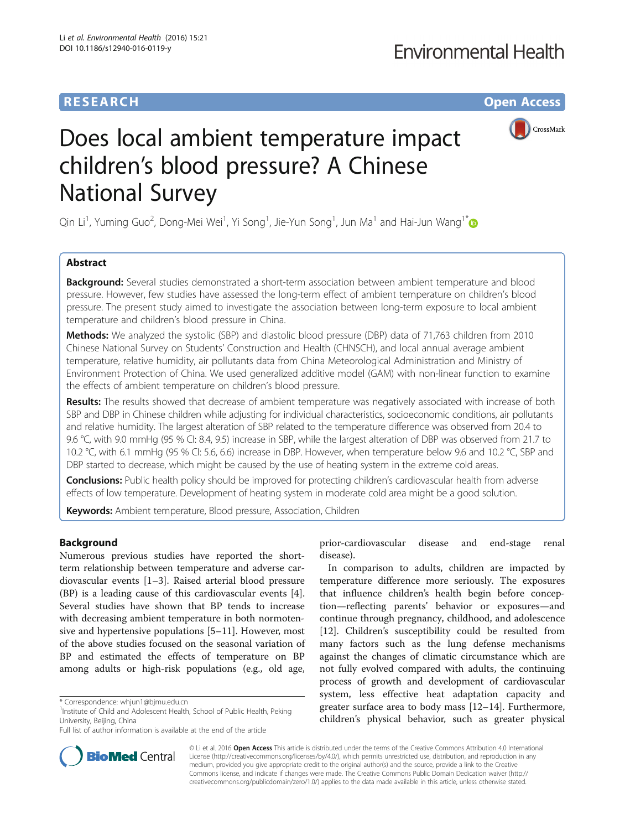# **RESEARCH CHE Open Access**



# Does local ambient temperature impact children's blood pressure? A Chinese National Survey

Qin Li<sup>1</sup>, Yuming Guo<sup>2</sup>, Dong-Mei Wei<sup>1</sup>, Yi Song<sup>1</sup>, Jie-Yun Song<sup>1</sup>, Jun Ma<sup>1</sup> and Hai-Jun Wang<sup>1\*</sup>

## Abstract

**Background:** Several studies demonstrated a short-term association between ambient temperature and blood pressure. However, few studies have assessed the long-term effect of ambient temperature on children's blood pressure. The present study aimed to investigate the association between long-term exposure to local ambient temperature and children's blood pressure in China.

Methods: We analyzed the systolic (SBP) and diastolic blood pressure (DBP) data of 71,763 children from 2010 Chinese National Survey on Students' Construction and Health (CHNSCH), and local annual average ambient temperature, relative humidity, air pollutants data from China Meteorological Administration and Ministry of Environment Protection of China. We used generalized additive model (GAM) with non-linear function to examine the effects of ambient temperature on children's blood pressure.

Results: The results showed that decrease of ambient temperature was negatively associated with increase of both SBP and DBP in Chinese children while adjusting for individual characteristics, socioeconomic conditions, air pollutants and relative humidity. The largest alteration of SBP related to the temperature difference was observed from 20.4 to 9.6 °C, with 9.0 mmHg (95 % CI: 8.4, 9.5) increase in SBP, while the largest alteration of DBP was observed from 21.7 to 10.2 °C, with 6.1 mmHg (95 % CI: 5.6, 6.6) increase in DBP. However, when temperature below 9.6 and 10.2 °C, SBP and DBP started to decrease, which might be caused by the use of heating system in the extreme cold areas.

Conclusions: Public health policy should be improved for protecting children's cardiovascular health from adverse effects of low temperature. Development of heating system in moderate cold area might be a good solution.

Keywords: Ambient temperature, Blood pressure, Association, Children

## Background

Numerous previous studies have reported the shortterm relationship between temperature and adverse cardiovascular events [\[1](#page-8-0)–[3\]](#page-8-0). Raised arterial blood pressure (BP) is a leading cause of this cardiovascular events [\[4](#page-8-0)]. Several studies have shown that BP tends to increase with decreasing ambient temperature in both normotensive and hypertensive populations [[5](#page-8-0)–[11](#page-8-0)]. However, most of the above studies focused on the seasonal variation of BP and estimated the effects of temperature on BP among adults or high-risk populations (e.g., old age,

prior-cardiovascular disease and end-stage renal disease).

In comparison to adults, children are impacted by temperature difference more seriously. The exposures that influence children's health begin before conception—reflecting parents' behavior or exposures—and continue through pregnancy, childhood, and adolescence [[12\]](#page-8-0). Children's susceptibility could be resulted from many factors such as the lung defense mechanisms against the changes of climatic circumstance which are not fully evolved compared with adults, the continuing process of growth and development of cardiovascular system, less effective heat adaptation capacity and greater surface area to body mass [\[12](#page-8-0)–[14\]](#page-8-0). Furthermore, children's physical behavior, such as greater physical



© Li et al. 2016 Open Access This article is distributed under the terms of the Creative Commons Attribution 4.0 International License ([http://creativecommons.org/licenses/by/4.0/\)](http://creativecommons.org/licenses/by/4.0/), which permits unrestricted use, distribution, and reproduction in any medium, provided you give appropriate credit to the original author(s) and the source, provide a link to the Creative Commons license, and indicate if changes were made. The Creative Commons Public Domain Dedication waiver ([http://](http://creativecommons.org/publicdomain/zero/1.0/) [creativecommons.org/publicdomain/zero/1.0/\)](http://creativecommons.org/publicdomain/zero/1.0/) applies to the data made available in this article, unless otherwise stated.

<sup>\*</sup> Correspondence: [whjun1@bjmu.edu.cn](mailto:whjun1@bjmu.edu.cn) <sup>1</sup>

<sup>&</sup>lt;sup>1</sup> Institute of Child and Adolescent Health, School of Public Health, Peking University, Beijing, China

Full list of author information is available at the end of the article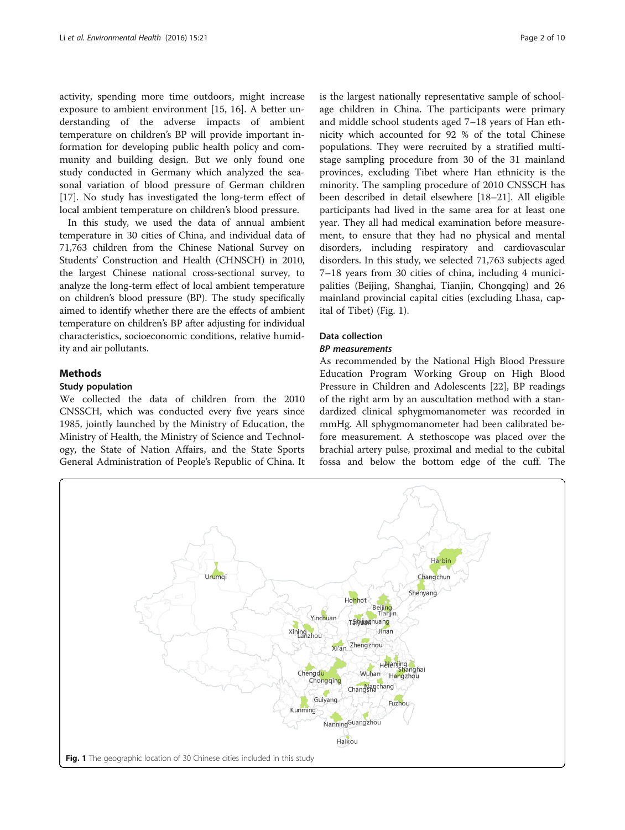<span id="page-1-0"></span>activity, spending more time outdoors, might increase exposure to ambient environment [\[15](#page-8-0), [16\]](#page-8-0). A better understanding of the adverse impacts of ambient temperature on children's BP will provide important information for developing public health policy and community and building design. But we only found one study conducted in Germany which analyzed the seasonal variation of blood pressure of German children [[17\]](#page-8-0). No study has investigated the long-term effect of local ambient temperature on children's blood pressure.

In this study, we used the data of annual ambient temperature in 30 cities of China, and individual data of 71,763 children from the Chinese National Survey on Students' Construction and Health (CHNSCH) in 2010, the largest Chinese national cross-sectional survey, to analyze the long-term effect of local ambient temperature on children's blood pressure (BP). The study specifically aimed to identify whether there are the effects of ambient temperature on children's BP after adjusting for individual characteristics, socioeconomic conditions, relative humidity and air pollutants.

### Methods

#### Study population

We collected the data of children from the 2010 CNSSCH, which was conducted every five years since 1985, jointly launched by the Ministry of Education, the Ministry of Health, the Ministry of Science and Technology, the State of Nation Affairs, and the State Sports General Administration of People's Republic of China. It is the largest nationally representative sample of schoolage children in China. The participants were primary and middle school students aged 7–18 years of Han ethnicity which accounted for 92 % of the total Chinese populations. They were recruited by a stratified multistage sampling procedure from 30 of the 31 mainland provinces, excluding Tibet where Han ethnicity is the minority. The sampling procedure of 2010 CNSSCH has been described in detail elsewhere [\[18](#page-8-0)–[21\]](#page-8-0). All eligible participants had lived in the same area for at least one year. They all had medical examination before measurement, to ensure that they had no physical and mental disorders, including respiratory and cardiovascular disorders. In this study, we selected 71,763 subjects aged 7–18 years from 30 cities of china, including 4 municipalities (Beijing, Shanghai, Tianjin, Chongqing) and 26 mainland provincial capital cities (excluding Lhasa, capital of Tibet) (Fig. 1).

## Data collection

## BP measurements

As recommended by the National High Blood Pressure Education Program Working Group on High Blood Pressure in Children and Adolescents [\[22\]](#page-8-0), BP readings of the right arm by an auscultation method with a standardized clinical sphygmomanometer was recorded in mmHg. All sphygmomanometer had been calibrated before measurement. A stethoscope was placed over the brachial artery pulse, proximal and medial to the cubital fossa and below the bottom edge of the cuff. The

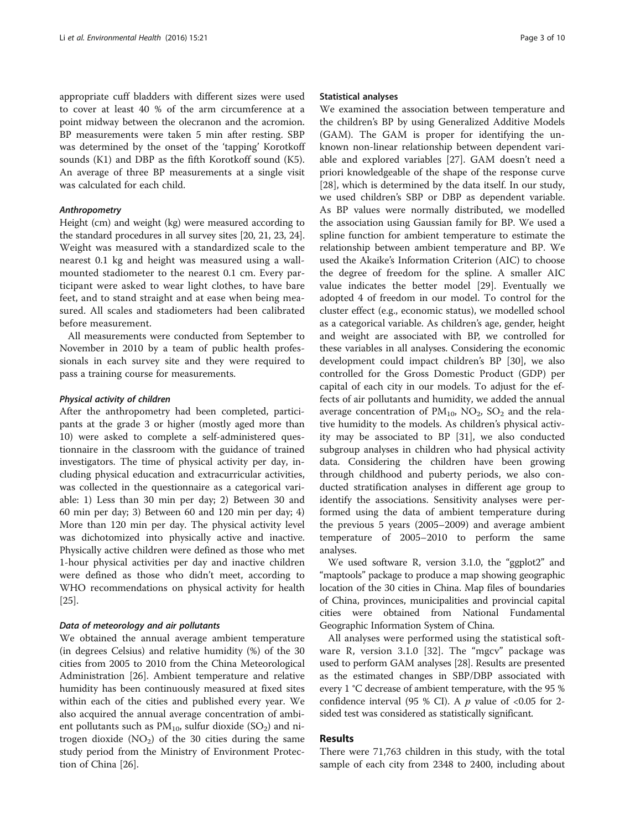appropriate cuff bladders with different sizes were used to cover at least 40 % of the arm circumference at a point midway between the olecranon and the acromion. BP measurements were taken 5 min after resting. SBP was determined by the onset of the 'tapping' Korotkoff sounds (K1) and DBP as the fifth Korotkoff sound (K5). An average of three BP measurements at a single visit was calculated for each child.

## Anthropometry

Height (cm) and weight (kg) were measured according to the standard procedures in all survey sites [[20](#page-8-0), [21](#page-8-0), [23, 24](#page-8-0)]. Weight was measured with a standardized scale to the nearest 0.1 kg and height was measured using a wallmounted stadiometer to the nearest 0.1 cm. Every participant were asked to wear light clothes, to have bare feet, and to stand straight and at ease when being measured. All scales and stadiometers had been calibrated before measurement.

All measurements were conducted from September to November in 2010 by a team of public health professionals in each survey site and they were required to pass a training course for measurements.

#### Physical activity of children

After the anthropometry had been completed, participants at the grade 3 or higher (mostly aged more than 10) were asked to complete a self-administered questionnaire in the classroom with the guidance of trained investigators. The time of physical activity per day, including physical education and extracurricular activities, was collected in the questionnaire as a categorical variable: 1) Less than 30 min per day; 2) Between 30 and 60 min per day; 3) Between 60 and 120 min per day; 4) More than 120 min per day. The physical activity level was dichotomized into physically active and inactive. Physically active children were defined as those who met 1-hour physical activities per day and inactive children were defined as those who didn't meet, according to WHO recommendations on physical activity for health [[25\]](#page-8-0).

## Data of meteorology and air pollutants

We obtained the annual average ambient temperature (in degrees Celsius) and relative humidity (%) of the 30 cities from 2005 to 2010 from the China Meteorological Administration [[26](#page-9-0)]. Ambient temperature and relative humidity has been continuously measured at fixed sites within each of the cities and published every year. We also acquired the annual average concentration of ambient pollutants such as  $PM_{10}$ , sulfur dioxide (SO<sub>2</sub>) and nitrogen dioxide  $(NO<sub>2</sub>)$  of the 30 cities during the same study period from the Ministry of Environment Protection of China [\[26](#page-9-0)].

#### Statistical analyses

We examined the association between temperature and the children's BP by using Generalized Additive Models (GAM). The GAM is proper for identifying the unknown non-linear relationship between dependent variable and explored variables [[27](#page-9-0)]. GAM doesn't need a priori knowledgeable of the shape of the response curve [[28\]](#page-9-0), which is determined by the data itself. In our study, we used children's SBP or DBP as dependent variable. As BP values were normally distributed, we modelled the association using Gaussian family for BP. We used a spline function for ambient temperature to estimate the relationship between ambient temperature and BP. We used the Akaike's Information Criterion (AIC) to choose the degree of freedom for the spline. A smaller AIC value indicates the better model [[29\]](#page-9-0). Eventually we adopted 4 of freedom in our model. To control for the cluster effect (e.g., economic status), we modelled school as a categorical variable. As children's age, gender, height and weight are associated with BP, we controlled for these variables in all analyses. Considering the economic development could impact children's BP [\[30](#page-9-0)], we also controlled for the Gross Domestic Product (GDP) per capital of each city in our models. To adjust for the effects of air pollutants and humidity, we added the annual average concentration of  $PM_{10}$ ,  $NO_2$ ,  $SO_2$  and the relative humidity to the models. As children's physical activity may be associated to BP [[31](#page-9-0)], we also conducted subgroup analyses in children who had physical activity data. Considering the children have been growing through childhood and puberty periods, we also conducted stratification analyses in different age group to identify the associations. Sensitivity analyses were performed using the data of ambient temperature during the previous 5 years (2005–2009) and average ambient temperature of 2005–2010 to perform the same analyses.

We used software R, version 3.1.0, the "ggplot2" and "maptools" package to produce a map showing geographic location of the 30 cities in China. Map files of boundaries of China, provinces, municipalities and provincial capital cities were obtained from National Fundamental Geographic Information System of China.

All analyses were performed using the statistical software R, version 3.1.0 [\[32](#page-9-0)]. The "mgcv" package was used to perform GAM analyses [\[28\]](#page-9-0). Results are presented as the estimated changes in SBP/DBP associated with every 1 °C decrease of ambient temperature, with the 95 % confidence interval (95 % CI). A  $p$  value of <0.05 for 2sided test was considered as statistically significant.

## Results

There were 71,763 children in this study, with the total sample of each city from 2348 to 2400, including about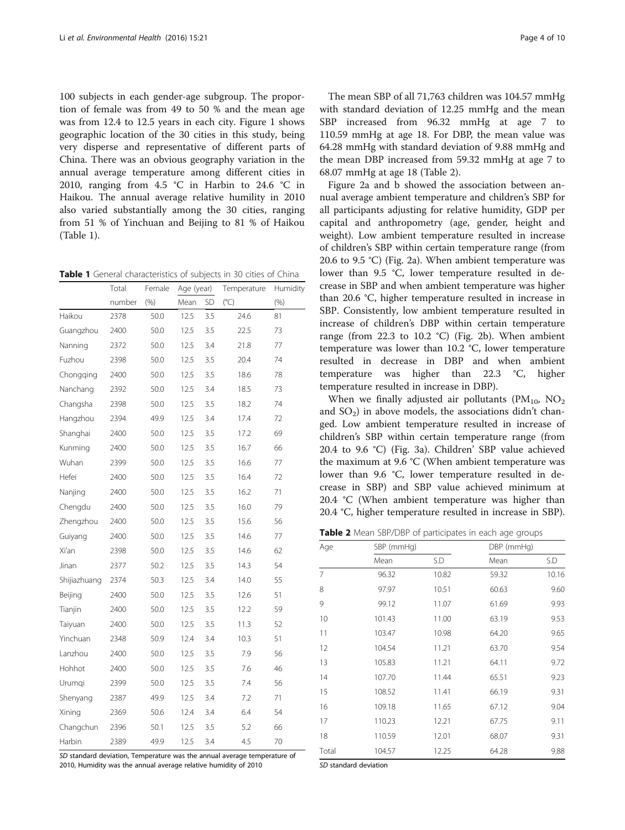100 subjects in each gender-age subgroup. The proportion of female was from 49 to 50 % and the mean age was from 12.4 to 12.5 years in each city. Figure [1](#page-1-0) shows geographic location of the 30 cities in this study, being very disperse and representative of different parts of China. There was an obvious geography variation in the annual average temperature among different cities in 2010, ranging from 4.5 °C in Harbin to 24.6 °C in Haikou. The annual average relative humility in 2010 also varied substantially among the 30 cities, ranging from 51 % of Yinchuan and Beijing to 81 % of Haikou (Table 1).

Table 1 General characteristics of subjects in 30 cities of China

|              | Total  | Female | Age (year) |           | Temperature  | Humidity |
|--------------|--------|--------|------------|-----------|--------------|----------|
|              | number | (% )   | Mean       | <b>SD</b> | $(^\circ C)$ | (% )     |
| Haikou       | 2378   | 50.0   | 12.5       | 3.5       | 24.6         | 81       |
| Guangzhou    | 2400   | 50.0   | 12.5       | 3.5       | 22.5         | 73       |
| Nanning      | 2372   | 50.0   | 12.5       | 3.4       | 21.8         | 77       |
| Fuzhou       | 2398   | 50.0   | 12.5       | 3.5       | 20.4         | 74       |
| Chongqing    | 2400   | 50.0   | 12.5       | 3.5       | 18.6         | 78       |
| Nanchang     | 2392   | 50.0   | 12.5       | 3.4       | 18.5         | 73       |
| Changsha     | 2398   | 50.0   | 12.5       | 3.5       | 18.2         | 74       |
| Hangzhou     | 2394   | 49.9   | 12.5       | 3.4       | 17.4         | 72       |
| Shanghai     | 2400   | 50.0   | 12.5       | 3.5       | 17.2         | 69       |
| Kunming      | 2400   | 50.0   | 12.5       | 3.5       | 16.7         | 66       |
| Wuhan        | 2399   | 50.0   | 12.5       | 3.5       | 16.6         | 77       |
| Hefei        | 2400   | 50.0   | 12.5       | 3.5       | 16.4         | 72       |
| Nanjing      | 2400   | 50.0   | 12.5       | 3.5       | 16.2         | 71       |
| Chengdu      | 2400   | 50.0   | 12.5       | 3.5       | 16.0         | 79       |
| Zhengzhou    | 2400   | 50.0   | 12.5       | 3.5       | 15.6         | 56       |
| Guiyang      | 2400   | 50.0   | 12.5       | 3.5       | 14.6         | 77       |
| Xi'an        | 2398   | 50.0   | 12.5       | 3.5       | 14.6         | 62       |
| Jinan        | 2377   | 50.2   | 12.5       | 3.5       | 14.3         | 54       |
| Shijiazhuang | 2374   | 50.3   | 12.5       | 3.4       | 14.0         | 55       |
| Beijing      | 2400   | 50.0   | 12.5       | 3.5       | 12.6         | 51       |
| Tianjin      | 2400   | 50.0   | 12.5       | 3.5       | 12.2         | 59       |
| Taiyuan      | 2400   | 50.0   | 12.5       | 3.5       | 11.3         | 52       |
| Yinchuan     | 2348   | 50.9   | 12.4       | 3.4       | 10.3         | 51       |
| Lanzhou      | 2400   | 50.0   | 12.5       | 3.5       | 7.9          | 56       |
| Hohhot       | 2400   | 50.0   | 12.5       | 3.5       | 7.6          | 46       |
| Urumqi       | 2399   | 50.0   | 12.5       | 3.5       | 7.4          | 56       |
| Shenyang     | 2387   | 49.9   | 12.5       | 3.4       | 7.2          | 71       |
| Xining       | 2369   | 50.6   | 12.4       | 3.4       | 6.4          | 54       |
| Changchun    | 2396   | 50.1   | 12.5       | 3.5       | 5.2          | 66       |
| Harbin       | 2389   | 49.9   | 12.5       | 3.4       | 4.5          | 70       |

SD standard deviation, Temperature was the annual average temperature of 2010, Humidity was the annual average relative humidity of 2010

The mean SBP of all 71,763 children was 104.57 mmHg with standard deviation of 12.25 mmHg and the mean SBP increased from 96.32 mmHg at age 7 to 110.59 mmHg at age 18. For DBP, the mean value was 64.28 mmHg with standard deviation of 9.88 mmHg and the mean DBP increased from 59.32 mmHg at age 7 to 68.07 mmHg at age 18 (Table 2).

Figure [2a](#page-4-0) and [b](#page-4-0) showed the association between annual average ambient temperature and children's SBP for all participants adjusting for relative humidity, GDP per capital and anthropometry (age, gender, height and weight). Low ambient temperature resulted in increase of children's SBP within certain temperature range (from 20.6 to 9.5 °C) (Fig. [2a](#page-4-0)). When ambient temperature was lower than 9.5 °C, lower temperature resulted in decrease in SBP and when ambient temperature was higher than 20.6 °C, higher temperature resulted in increase in SBP. Consistently, low ambient temperature resulted in increase of children's DBP within certain temperature range (from 22.3 to 10.2 °C) (Fig. [2b\)](#page-4-0). When ambient temperature was lower than 10.2 °C, lower temperature resulted in decrease in DBP and when ambient temperature was higher than 22.3 °C, higher temperature resulted in increase in DBP).

When we finally adjusted air pollutants ( $PM_{10}$ ,  $NO_2$ ) and  $SO<sub>2</sub>$ ) in above models, the associations didn't changed. Low ambient temperature resulted in increase of children's SBP within certain temperature range (from 20.4 to 9.6 °C) (Fig. [3a](#page-4-0)). Children' SBP value achieved the maximum at 9.6 °C (When ambient temperature was lower than 9.6 °C, lower temperature resulted in decrease in SBP) and SBP value achieved minimum at 20.4 °C (When ambient temperature was higher than 20.4 °C, higher temperature resulted in increase in SBP).

Table 2 Mean SBP/DBP of participates in each age groups

| Age   | SBP (mmHg) |       | DBP (mmHg) |       |  |
|-------|------------|-------|------------|-------|--|
|       | Mean       | S.D   | Mean       | S.D   |  |
| 7     | 96.32      | 10.82 | 59.32      | 10.16 |  |
| 8     | 97.97      | 10.51 | 60.63      | 9.60  |  |
| 9     | 99.12      | 11.07 | 61.69      | 9.93  |  |
| 10    | 101.43     | 11.00 | 63.19      | 9.53  |  |
| 11    | 103.47     | 10.98 | 64.20      | 9.65  |  |
| 12    | 104.54     | 11.21 | 63.70      | 9.54  |  |
| 13    | 105.83     | 11.21 | 64.11      | 9.72  |  |
| 14    | 107.70     | 11.44 | 65.51      | 9.23  |  |
| 15    | 108.52     | 11.41 | 66.19      | 9.31  |  |
| 16    | 109.18     | 11.65 | 67.12      | 9.04  |  |
| 17    | 110.23     | 12.21 | 67.75      | 9.11  |  |
| 18    | 110.59     | 12.01 | 68.07      | 9.31  |  |
| Total | 104.57     | 12.25 | 64.28      | 9.88  |  |

SD standard deviation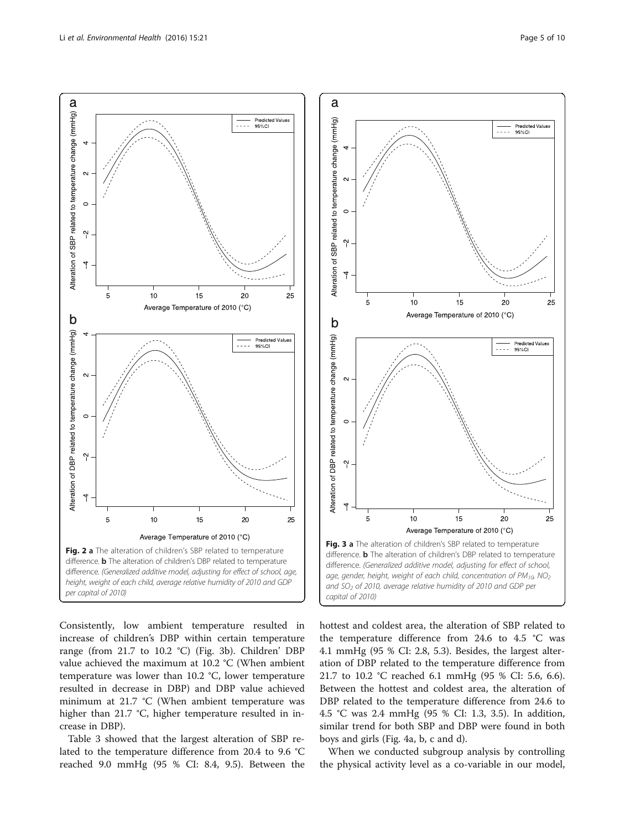<span id="page-4-0"></span>

Consistently, low ambient temperature resulted in increase of children's DBP within certain temperature range (from 21.7 to 10.2 °C) (Fig. 3b). Children' DBP value achieved the maximum at 10.2 °C (When ambient temperature was lower than 10.2 °C, lower temperature resulted in decrease in DBP) and DBP value achieved minimum at 21.7 °C (When ambient temperature was higher than 21.7 °C, higher temperature resulted in increase in DBP).

Table [3](#page-5-0) showed that the largest alteration of SBP related to the temperature difference from 20.4 to 9.6 °C reached 9.0 mmHg (95 % CI: 8.4, 9.5). Between the



hottest and coldest area, the alteration of SBP related to the temperature difference from 24.6 to 4.5 °C was 4.1 mmHg (95 % CI: 2.8, 5.3). Besides, the largest alteration of DBP related to the temperature difference from 21.7 to 10.2 °C reached 6.1 mmHg (95 % CI: 5.6, 6.6). Between the hottest and coldest area, the alteration of DBP related to the temperature difference from 24.6 to 4.5 °C was 2.4 mmHg (95 % CI: 1.3, 3.5). In addition, similar trend for both SBP and DBP were found in both boys and girls (Fig. [4a](#page-5-0), [b, c](#page-5-0) and [d](#page-5-0)).

When we conducted subgroup analysis by controlling the physical activity level as a co-variable in our model,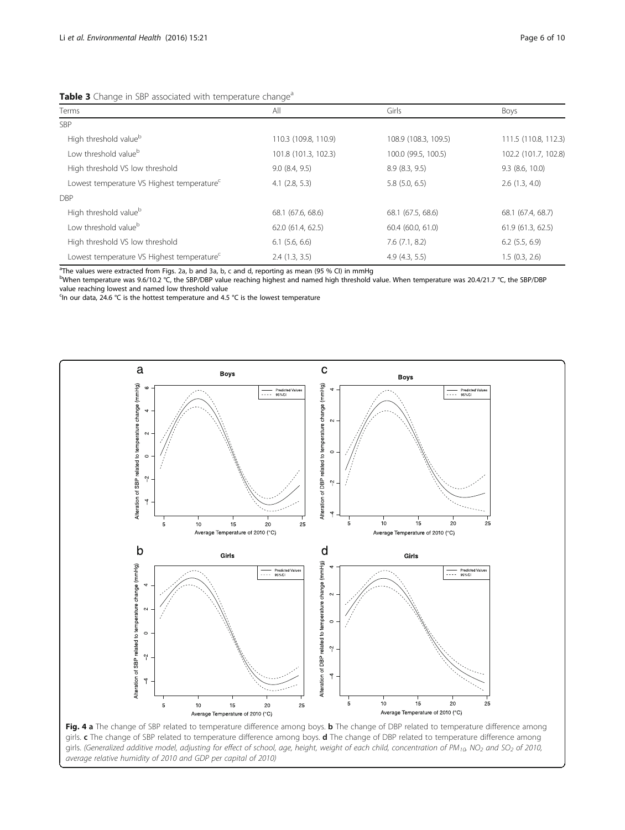| Terms                                                  | All                  | Girls                | Boys                 |  |  |  |
|--------------------------------------------------------|----------------------|----------------------|----------------------|--|--|--|
| <b>SBP</b>                                             |                      |                      |                      |  |  |  |
| High threshold value <sup>b</sup>                      | 110.3 (109.8, 110.9) | 108.9 (108.3, 109.5) | 111.5 (110.8, 112.3) |  |  |  |
| Low threshold value <sup>b</sup>                       | 101.8 (101.3, 102.3) | 100.0 (99.5, 100.5)  | 102.2 (101.7, 102.8) |  |  |  |
| High threshold VS low threshold                        | 9.0(8.4, 9.5)        | 8.9(8.3, 9.5)        | $9.3$ (8.6, 10.0)    |  |  |  |
| Lowest temperature VS Highest temperature <sup>c</sup> | $4.1$ $(2.8, 5.3)$   | $5.8$ $(5.0, 6.5)$   | 2.6(1.3, 4.0)        |  |  |  |
| <b>DBP</b>                                             |                      |                      |                      |  |  |  |
| High threshold value <sup>b</sup>                      | 68.1 (67.6, 68.6)    | 68.1 (67.5, 68.6)    | 68.1 (67.4, 68.7)    |  |  |  |
| Low threshold value <sup>b</sup>                       | 62.0 (61.4, 62.5)    | 60.4 (60.0, 61.0)    | 61.9 (61.3, 62.5)    |  |  |  |
| High threshold VS low threshold                        | $6.1$ $(5.6, 6.6)$   | 7.6(7.1, 8.2)        | $6.2$ $(5.5, 6.9)$   |  |  |  |
| Lowest temperature VS Highest temperature <sup>c</sup> | 2.4(1.3, 3.5)        | 4.9(4.3, 5.5)        | 1.5(0.3, 2.6)        |  |  |  |

<span id="page-5-0"></span>Table 3 Change in SBP associated with temperature change<sup>a</sup>

<sup>a</sup> The values were extracted from Figs. [2a,](#page-4-0) [b](#page-4-0) and [3a,](#page-4-0) [b,](#page-4-0) [c](#page-4-0) and [d,](#page-4-0) reporting as mean (95 % CI) in mmHg b b b conte<br><sup>b</sup> When temperature was 9.6/10.2 °C, the SBP/DBP value reaching bighest and pamed bigh threshold

bWhen temperature was 9.6/10.2 °C, the SBP/DBP value reaching highest and named high threshold value. When temperature was 20.4/21.7 °C, the SBP/DBP value reaching lowest and named low threshold value

<sup>c</sup>In our data, 24.6 °C is the hottest temperature and 4.5 °C is the lowest temperature



Fig. 4 a The change of SBP related to temperature difference among boys. b The change of DBP related to temperature difference among girls. c The change of SBP related to temperature difference among boys. d The change of DBP related to temperature difference among girls. (Generalized additive model, adjusting for effect of school, age, height, weight of each child, concentration of PM<sub>10</sub>, NO<sub>2</sub> and SO<sub>2</sub> of 2010, average relative humidity of 2010 and GDP per capital of 2010)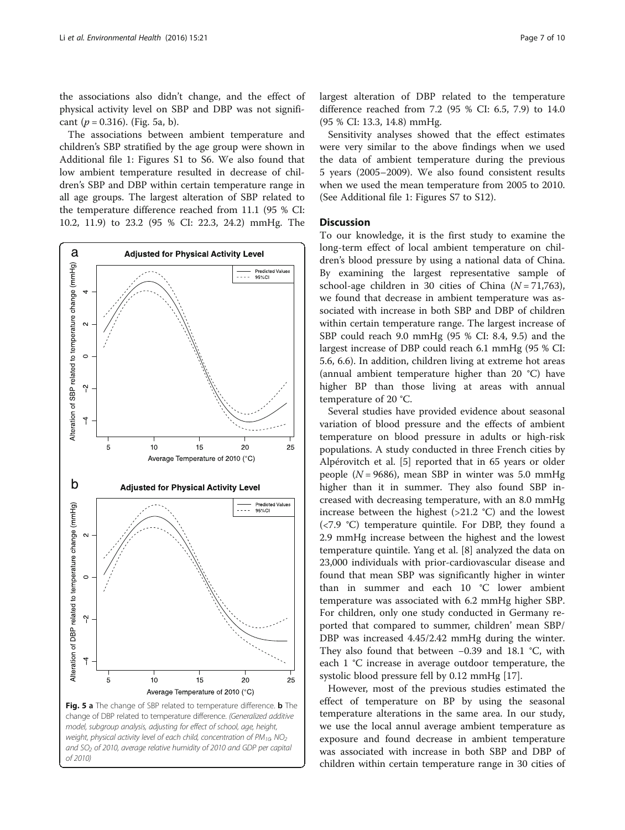the associations also didn't change, and the effect of physical activity level on SBP and DBP was not significant  $(p = 0.316)$ . (Fig. 5a, b).

The associations between ambient temperature and children's SBP stratified by the age group were shown in Additional file [1](#page-8-0): Figures S1 to S6. We also found that low ambient temperature resulted in decrease of children's SBP and DBP within certain temperature range in all age groups. The largest alteration of SBP related to the temperature difference reached from 11.1 (95 % CI: 10.2, 11.9) to 23.2 (95 % CI: 22.3, 24.2) mmHg. The



and SO<sub>2</sub> of 2010, average relative humidity of 2010 and GDP per capital

of 2010)

largest alteration of DBP related to the temperature difference reached from 7.2 (95 % CI: 6.5, 7.9) to 14.0 (95 % CI: 13.3, 14.8) mmHg.

Sensitivity analyses showed that the effect estimates were very similar to the above findings when we used the data of ambient temperature during the previous 5 years (2005–2009). We also found consistent results when we used the mean temperature from 2005 to 2010. (See Additional file [1:](#page-8-0) Figures S7 to S12).

### **Discussion**

To our knowledge, it is the first study to examine the long-term effect of local ambient temperature on children's blood pressure by using a national data of China. By examining the largest representative sample of school-age children in 30 cities of China  $(N = 71,763)$ , we found that decrease in ambient temperature was associated with increase in both SBP and DBP of children within certain temperature range. The largest increase of SBP could reach 9.0 mmHg (95 % CI: 8.4, 9.5) and the largest increase of DBP could reach 6.1 mmHg (95 % CI: 5.6, 6.6). In addition, children living at extreme hot areas (annual ambient temperature higher than 20 °C) have higher BP than those living at areas with annual temperature of 20 °C.

Several studies have provided evidence about seasonal variation of blood pressure and the effects of ambient temperature on blood pressure in adults or high-risk populations. A study conducted in three French cities by Alpérovitch et al. [\[5\]](#page-8-0) reported that in 65 years or older people ( $N = 9686$ ), mean SBP in winter was 5.0 mmHg higher than it in summer. They also found SBP increased with decreasing temperature, with an 8.0 mmHg increase between the highest  $(>21.2 \degree C)$  and the lowest (<7.9 °C) temperature quintile. For DBP, they found a 2.9 mmHg increase between the highest and the lowest temperature quintile. Yang et al. [[8\]](#page-8-0) analyzed the data on 23,000 individuals with prior-cardiovascular disease and found that mean SBP was significantly higher in winter than in summer and each 10 °C lower ambient temperature was associated with 6.2 mmHg higher SBP. For children, only one study conducted in Germany reported that compared to summer, children' mean SBP/ DBP was increased 4.45/2.42 mmHg during the winter. They also found that between −0.39 and 18.1 °C, with each 1 °C increase in average outdoor temperature, the systolic blood pressure fell by 0.12 mmHg [[17\]](#page-8-0).

However, most of the previous studies estimated the effect of temperature on BP by using the seasonal temperature alterations in the same area. In our study, we use the local annul average ambient temperature as exposure and found decrease in ambient temperature was associated with increase in both SBP and DBP of children within certain temperature range in 30 cities of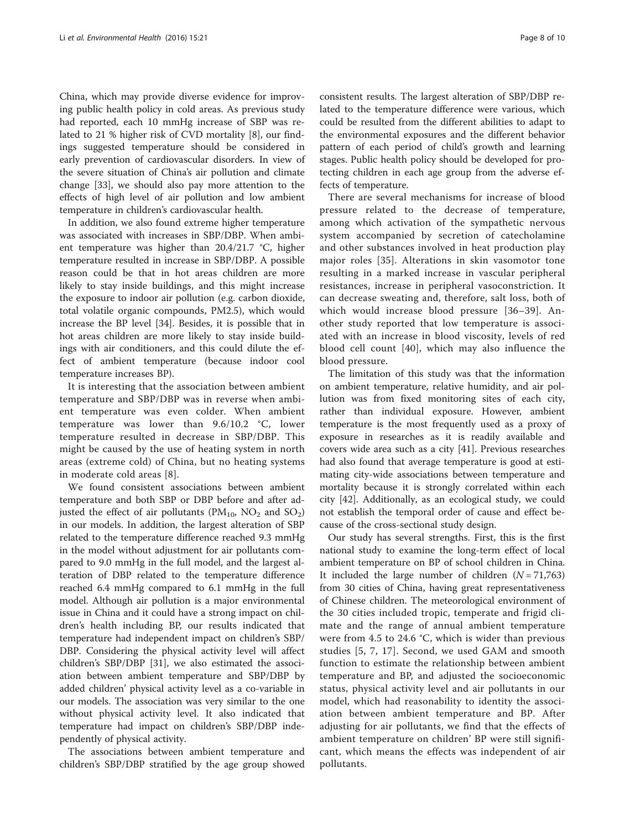China, which may provide diverse evidence for improving public health policy in cold areas. As previous study had reported, each 10 mmHg increase of SBP was related to 21 % higher risk of CVD mortality [\[8](#page-8-0)], our findings suggested temperature should be considered in early prevention of cardiovascular disorders. In view of the severe situation of China's air pollution and climate change [[33\]](#page-9-0), we should also pay more attention to the effects of high level of air pollution and low ambient temperature in children's cardiovascular health.

In addition, we also found extreme higher temperature was associated with increases in SBP/DBP. When ambient temperature was higher than 20.4/21.7 °C, higher temperature resulted in increase in SBP/DBP. A possible reason could be that in hot areas children are more likely to stay inside buildings, and this might increase the exposure to indoor air pollution (e.g. carbon dioxide, total volatile organic compounds, PM2.5), which would increase the BP level [\[34](#page-9-0)]. Besides, it is possible that in hot areas children are more likely to stay inside buildings with air conditioners, and this could dilute the effect of ambient temperature (because indoor cool temperature increases BP).

It is interesting that the association between ambient temperature and SBP/DBP was in reverse when ambient temperature was even colder. When ambient temperature was lower than 9.6/10.2 °C, lower temperature resulted in decrease in SBP/DBP. This might be caused by the use of heating system in north areas (extreme cold) of China, but no heating systems in moderate cold areas [[8](#page-8-0)].

We found consistent associations between ambient temperature and both SBP or DBP before and after adjusted the effect of air pollutants ( $PM_{10}$ ,  $NO_2$  and  $SO_2$ ) in our models. In addition, the largest alteration of SBP related to the temperature difference reached 9.3 mmHg in the model without adjustment for air pollutants compared to 9.0 mmHg in the full model, and the largest alteration of DBP related to the temperature difference reached 6.4 mmHg compared to 6.1 mmHg in the full model. Although air pollution is a major environmental issue in China and it could have a strong impact on children's health including BP, our results indicated that temperature had independent impact on children's SBP/ DBP. Considering the physical activity level will affect children's SBP/DBP [[31\]](#page-9-0), we also estimated the association between ambient temperature and SBP/DBP by added children' physical activity level as a co-variable in our models. The association was very similar to the one without physical activity level. It also indicated that temperature had impact on children's SBP/DBP independently of physical activity.

The associations between ambient temperature and children's SBP/DBP stratified by the age group showed

consistent results. The largest alteration of SBP/DBP related to the temperature difference were various, which could be resulted from the different abilities to adapt to the environmental exposures and the different behavior pattern of each period of child's growth and learning stages. Public health policy should be developed for protecting children in each age group from the adverse effects of temperature.

There are several mechanisms for increase of blood pressure related to the decrease of temperature, among which activation of the sympathetic nervous system accompanied by secretion of catecholamine and other substances involved in heat production play major roles [[35\]](#page-9-0). Alterations in skin vasomotor tone resulting in a marked increase in vascular peripheral resistances, increase in peripheral vasoconstriction. It can decrease sweating and, therefore, salt loss, both of which would increase blood pressure [[36](#page-9-0)–[39\]](#page-9-0). Another study reported that low temperature is associated with an increase in blood viscosity, levels of red blood cell count [[40](#page-9-0)], which may also influence the blood pressure.

The limitation of this study was that the information on ambient temperature, relative humidity, and air pollution was from fixed monitoring sites of each city, rather than individual exposure. However, ambient temperature is the most frequently used as a proxy of exposure in researches as it is readily available and covers wide area such as a city [\[41](#page-9-0)]. Previous researches had also found that average temperature is good at estimating city-wide associations between temperature and mortality because it is strongly correlated within each city [\[42](#page-9-0)]. Additionally, as an ecological study, we could not establish the temporal order of cause and effect because of the cross-sectional study design.

Our study has several strengths. First, this is the first national study to examine the long-term effect of local ambient temperature on BP of school children in China. It included the large number of children  $(N = 71,763)$ from 30 cities of China, having great representativeness of Chinese children. The meteorological environment of the 30 cities included tropic, temperate and frigid climate and the range of annual ambient temperature were from 4.5 to 24.6 °C, which is wider than previous studies [\[5, 7, 17](#page-8-0)]. Second, we used GAM and smooth function to estimate the relationship between ambient temperature and BP, and adjusted the socioeconomic status, physical activity level and air pollutants in our model, which had reasonability to identity the association between ambient temperature and BP. After adjusting for air pollutants, we find that the effects of ambient temperature on children' BP were still significant, which means the effects was independent of air pollutants.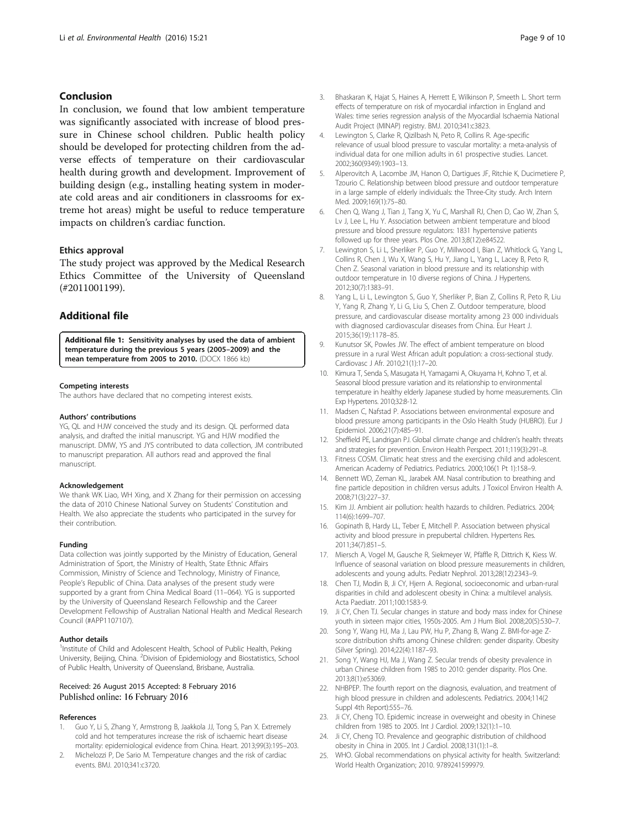## <span id="page-8-0"></span>Conclusion

In conclusion, we found that low ambient temperature was significantly associated with increase of blood pressure in Chinese school children. Public health policy should be developed for protecting children from the adverse effects of temperature on their cardiovascular health during growth and development. Improvement of building design (e.g., installing heating system in moderate cold areas and air conditioners in classrooms for extreme hot areas) might be useful to reduce temperature impacts on children's cardiac function.

#### Ethics approval

The study project was approved by the Medical Research Ethics Committee of the University of Queensland (#2011001199).

## Additional file

[Additional file 1:](dx.doi.org/10.1186/s12940-016-0119-y) Sensitivity analyses by used the data of ambient temperature during the previous 5 years (2005–2009) and the mean temperature from 2005 to 2010. (DOCX 1866 kb)

#### Competing interests

The authors have declared that no competing interest exists.

#### Authors' contributions

YG, QL and HJW conceived the study and its design. QL performed data analysis, and drafted the initial manuscript. YG and HJW modified the manuscript. DMW, YS and JYS contributed to data collection, JM contributed to manuscript preparation. All authors read and approved the final manuscript.

#### Acknowledgement

We thank WK Liao, WH Xing, and X Zhang for their permission on accessing the data of 2010 Chinese National Survey on Students' Constitution and Health. We also appreciate the students who participated in the survey for their contribution.

#### Funding

Data collection was jointly supported by the Ministry of Education, General Administration of Sport, the Ministry of Health, State Ethnic Affairs Commission, Ministry of Science and Technology, Ministry of Finance, People's Republic of China. Data analyses of the present study were supported by a grant from China Medical Board (11–064). YG is supported by the University of Queensland Research Fellowship and the Career Development Fellowship of Australian National Health and Medical Research Council (#APP1107107).

#### Author details

<sup>1</sup>Institute of Child and Adolescent Health, School of Public Health, Peking University, Beijing, China. <sup>2</sup>Division of Epidemiology and Biostatistics, School of Public Health, University of Queensland, Brisbane, Australia.

#### Received: 26 August 2015 Accepted: 8 February 2016 Published online: 16 February 2016

#### References

- 1. Guo Y, Li S, Zhang Y, Armstrong B, Jaakkola JJ, Tong S, Pan X. Extremely cold and hot temperatures increase the risk of ischaemic heart disease mortality: epidemiological evidence from China. Heart. 2013;99(3):195–203.
- 2. Michelozzi P, De Sario M. Temperature changes and the risk of cardiac events. BMJ. 2010;341:c3720.
- 3. Bhaskaran K, Hajat S, Haines A, Herrett E, Wilkinson P, Smeeth L. Short term effects of temperature on risk of myocardial infarction in England and Wales: time series regression analysis of the Myocardial Ischaemia National Audit Project (MINAP) registry. BMJ. 2010;341:c3823.
- 4. Lewington S, Clarke R, Qizilbash N, Peto R, Collins R. Age-specific relevance of usual blood pressure to vascular mortality: a meta-analysis of individual data for one million adults in 61 prospective studies. Lancet. 2002;360(9349):1903–13.
- 5. Alperovitch A, Lacombe JM, Hanon O, Dartigues JF, Ritchie K, Ducimetiere P, Tzourio C. Relationship between blood pressure and outdoor temperature in a large sample of elderly individuals: the Three-City study. Arch Intern Med. 2009;169(1):75–80.
- 6. Chen Q, Wang J, Tian J, Tang X, Yu C, Marshall RJ, Chen D, Cao W, Zhan S, Lv J, Lee L, Hu Y. Association between ambient temperature and blood pressure and blood pressure regulators: 1831 hypertensive patients followed up for three years. Plos One. 2013;8(12):e84522.
- 7. Lewington S, Li L, Sherliker P, Guo Y, Millwood I, Bian Z, Whitlock G, Yang L, Collins R, Chen J, Wu X, Wang S, Hu Y, Jiang L, Yang L, Lacey B, Peto R, Chen Z. Seasonal variation in blood pressure and its relationship with outdoor temperature in 10 diverse regions of China. J Hypertens. 2012;30(7):1383–91.
- 8. Yang L, Li L, Lewington S, Guo Y, Sherliker P, Bian Z, Collins R, Peto R, Liu Y, Yang R, Zhang Y, Li G, Liu S, Chen Z. Outdoor temperature, blood pressure, and cardiovascular disease mortality among 23 000 individuals with diagnosed cardiovascular diseases from China. Eur Heart J. 2015;36(19):1178–85.
- 9. Kunutsor SK, Powles JW. The effect of ambient temperature on blood pressure in a rural West African adult population: a cross-sectional study. Cardiovasc J Afr. 2010;21(1):17–20.
- 10. Kimura T, Senda S, Masugata H, Yamagami A, Okuyama H, Kohno T, et al. Seasonal blood pressure variation and its relationship to environmental temperature in healthy elderly Japanese studied by home measurements. Clin Exp Hypertens. 2010;32:8-12.
- 11. Madsen C, Nafstad P. Associations between environmental exposure and blood pressure among participants in the Oslo Health Study (HUBRO). Eur J Epidemiol. 2006;21(7):485–91.
- 12. Sheffield PE, Landrigan PJ. Global climate change and children's health: threats and strategies for prevention. Environ Health Perspect. 2011;119(3):291–8.
- 13. Fitness COSM. Climatic heat stress and the exercising child and adolescent. American Academy of Pediatrics. Pediatrics. 2000;106(1 Pt 1):158–9.
- 14. Bennett WD, Zeman KL, Jarabek AM. Nasal contribution to breathing and fine particle deposition in children versus adults. J Toxicol Environ Health A. 2008;71(3):227–37.
- 15. Kim JJ. Ambient air pollution: health hazards to children. Pediatrics. 2004; 114(6):1699–707.
- 16. Gopinath B, Hardy LL, Teber E, Mitchell P. Association between physical activity and blood pressure in prepubertal children. Hypertens Res. 2011;34(7):851–5.
- 17. Miersch A, Vogel M, Gausche R, Siekmeyer W, Pfäffle R, Dittrich K, Kiess W. Influence of seasonal variation on blood pressure measurements in children, adolescents and young adults. Pediatr Nephrol. 2013;28(12):2343–9.
- 18. Chen TJ, Modin B, Ji CY, Hjern A. Regional, socioeconomic and urban-rural disparities in child and adolescent obesity in China: a multilevel analysis. Acta Paediatr. 2011;100:1583-9.
- 19. Ji CY, Chen TJ. Secular changes in stature and body mass index for Chinese youth in sixteen major cities, 1950s-2005. Am J Hum Biol. 2008;20(5):530–7.
- 20. Song Y, Wang HJ, Ma J, Lau PW, Hu P, Zhang B, Wang Z. BMI-for-age Zscore distribution shifts among Chinese children: gender disparity. Obesity (Silver Spring). 2014;22(4):1187–93.
- 21. Song Y, Wang HJ, Ma J, Wang Z. Secular trends of obesity prevalence in urban Chinese children from 1985 to 2010: gender disparity. Plos One. 2013;8(1):e53069.
- 22. NHBPEP. The fourth report on the diagnosis, evaluation, and treatment of high blood pressure in children and adolescents. Pediatrics. 2004;114(2 Suppl 4th Report):555–76.
- 23. Ji CY, Cheng TO. Epidemic increase in overweight and obesity in Chinese children from 1985 to 2005. Int J Cardiol. 2009;132(1):1–10.
- 24. Ji CY, Cheng TO. Prevalence and geographic distribution of childhood obesity in China in 2005. Int J Cardiol. 2008;131(1):1–8.
- 25. WHO. Global recommendations on physical activity for health. Switzerland: World Health Organization; 2010. 9789241599979.